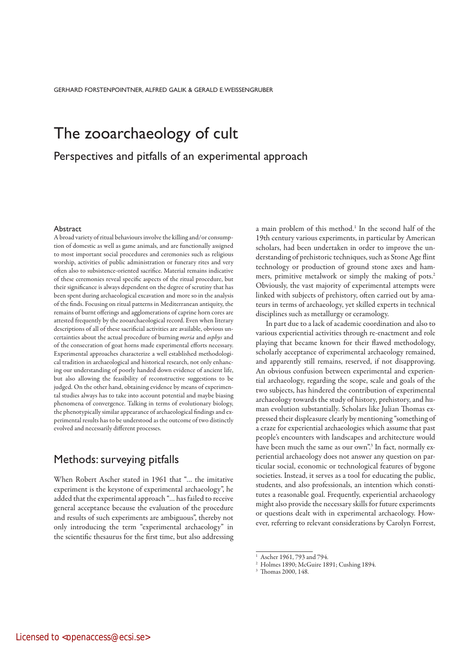GERHARD FORSTENPOINTNER, ALFRED GALIK & GERALD E. WEISSENGRUBER

# The zooarchaeology of cult

Perspectives and pitfalls of an experimental approach

#### Abstract

A broad variety of ritual behaviours involve the killing and/or consumption of domestic as well as game animals, and are functionally assigned to most important social procedures and ceremonies such as religious worship, activities of public administration or funerary rites and very often also to subsistence-oriented sacrifice. Material remains indicative of these ceremonies reveal specific aspects of the ritual procedure, but their significance is always dependent on the degree of scrutiny that has been spent during archaeological excavation and more so in the analysis of the finds. Focusing on ritual patterns in Mediterranean antiquity, the remains of burnt offerings and agglomerations of caprine horn cores are attested frequently by the zooarchaeological record. Even when literary descriptions of all of these sacrificial activities are available, obvious uncertainties about the actual procedure of burning meria and osphys and of the consecration of goat horns made experimental efforts necessary. Experimental approaches characterize a well established methodological tradition in archaeological and historical research, not only enhancing our understanding of poorly handed down evidence of ancient life, but also allowing the feasibility of reconstructive suggestions to be judged. On the other hand, obtaining evidence by means of experimental studies always has to take into account potential and maybe biasing phenomena of convergence. Talking in terms of evolutionary biology, the phenotypically similar appearance of archaeological findings and experimental results has to be understood as the outcome of two distinctly evolved and necessarily different processes.

### Methods: surveying pitfalls

When Robert Ascher stated in 1961 that "… the imitative experiment is the keystone of experimental archaeology", he added that the experimental approach "… has failed to receive general acceptance because the evaluation of the procedure and results of such experiments are ambiguous", thereby not only introducing the term "experimental archaeology" in the scientific thesaurus for the first time, but also addressing

a main problem of this method.<sup>1</sup> In the second half of the 19th century various experiments, in particular by American scholars, had been undertaken in order to improve the understanding of prehistoric techniques, such as Stone Age flint technology or production of ground stone axes and hammers, primitive metalwork or simply the making of pots.<sup>2</sup> Obviously, the vast majority of experimental attempts were linked with subjects of prehistory, often carried out by amateurs in terms of archaeology, yet skilled experts in technical disciplines such as metallurgy or ceramology.

In part due to a lack of academic coordination and also to various experiential activities through re-enactment and role playing that became known for their flawed methodology, scholarly acceptance of experimental archaeology remained, and apparently still remains, reserved, if not disapproving. An obvious confusion between experimental and experiential archaeology, regarding the scope, scale and goals of the two subjects, has hindered the contribution of experimental archaeology towards the study of history, prehistory, and human evolution substantially. Scholars like Julian Thomas expressed their displeasure clearly by mentioning "something of a craze for experiential archaeologies which assume that past people's encounters with landscapes and architecture would have been much the same as our own".<sup>3</sup> In fact, normally experiential archaeology does not answer any question on particular social, economic or technological features of bygone societies. Instead, it serves as a tool for educating the public, students, and also professionals, an intention which constitutes a reasonable goal. Frequently, experiential archaeology might also provide the necessary skills for future experiments or questions dealt with in experimental archaeology. However, referring to relevant considerations by Carolyn Forrest,

<sup>&</sup>lt;sup>1</sup> Ascher 1961, 793 and 794.

<sup>2</sup> Holmes 1890; McGuire 1891; Cushing 1894.

<sup>3</sup> Thomas 2000, 148.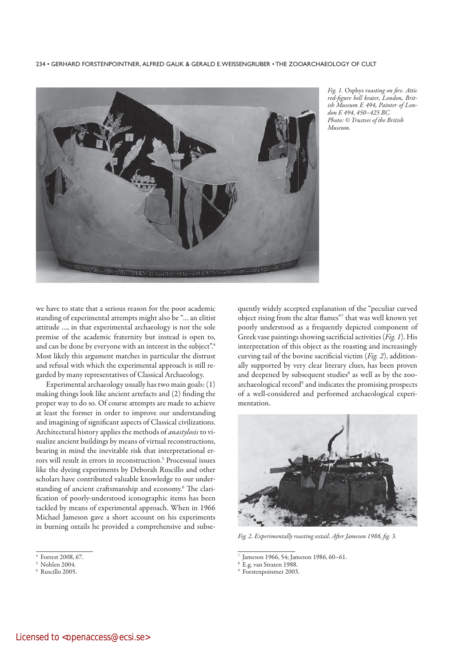

Fig. 1. Osphys roasting on fire. Attic red-figure bell krater, London, British Museum E 494, Painter of London E 494, 450–425 BC. Photo: © Trustees of the British Museum.

we have to state that a serious reason for the poor academic standing of experimental attempts might also be "… an elitist attitude …, in that experimental archaeology is not the sole premise of the academic fraternity but instead is open to, and can be done by everyone with an interest in the subject".4 Most likely this argument matches in particular the distrust and refusal with which the experimental approach is still regarded by many representatives of Classical Archaeology.

Experimental archaeology usually has two main goals: (1) making things look like ancient artefacts and (2) finding the proper way to do so. Of course attempts are made to achieve at least the former in order to improve our understanding and imagining of significant aspects of Classical civilizations. Architectural history applies the methods of *anastylosis* to visualize ancient buildings by means of virtual reconstructions, bearing in mind the inevitable risk that interpretational errors will result in errors in reconstruction.<sup>5</sup> Processual issues like the dyeing experiments by Deborah Ruscillo and other scholars have contributed valuable knowledge to our understanding of ancient craftsmanship and economy.<sup>6</sup> The clarification of poorly-understood iconographic items has been tackled by means of experimental approach. When in 1966 Michael Jameson gave a short account on his experiments in burning oxtails he provided a comprehensive and subsequently widely accepted explanation of the "peculiar curved object rising from the altar flames"7 that was well known yet poorly understood as a frequently depicted component of Greek vase paintings showing sacrificial activities (Fig. 1). His interpretation of this object as the roasting and increasingly curving tail of the bovine sacrificial victim (Fig. 2), additionally supported by very clear literary clues, has been proven and deepened by subsequent studies<sup>8</sup> as well as by the zooarchaeological record<sup>9</sup> and indicates the promising prospects of a well-considered and performed archaeological experimentation.



Fig. 2. Experimentally roasting oxtail. After Jameson 1986, fig. 3.

7 Jameson 1966, 54; Jameson 1986, 60–61.

E.g. van Straten 1988.

9 Forstenpointner 2003.

<sup>4</sup> Forrest 2008, 67.

<sup>5</sup> Nohlen 2004.

<sup>6</sup> Ruscillo 2005.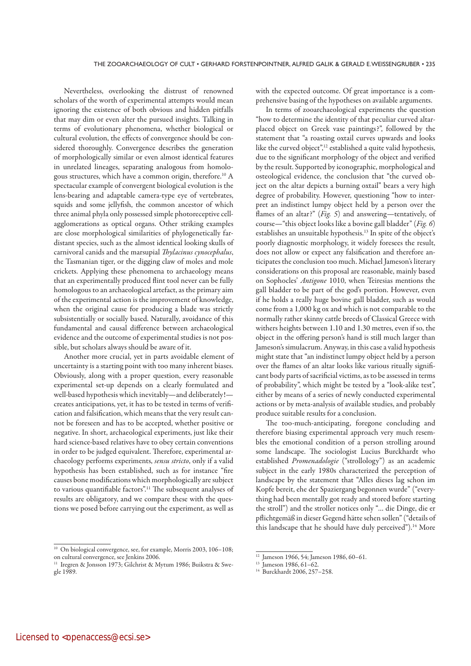Nevertheless, overlooking the distrust of renowned scholars of the worth of experimental attempts would mean ignoring the existence of both obvious and hidden pitfalls that may dim or even alter the pursued insights. Talking in terms of evolutionary phenomena, whether biological or cultural evolution, the effects of convergence should be considered thoroughly. Convergence describes the generation of morphologically similar or even almost identical features in unrelated lineages, separating analogous from homologous structures, which have a common origin, therefore.10 A spectacular example of convergent biological evolution is the lens-bearing and adaptable camera-type eye of vertebrates, squids and some jellyfish, the common ancestor of which three animal phyla only possessed simple photoreceptive cellagglomerations as optical organs. Other striking examples are close morphological similarities of phylogenetically fardistant species, such as the almost identical looking skulls of carnivoral canids and the marsupial Thylacinus cynocephalus, the Tasmanian tiger, or the digging claw of moles and mole crickets. Applying these phenomena to archaeology means that an experimentally produced flint tool never can be fully homologous to an archaeological artefact, as the primary aim of the experimental action is the improvement of knowledge, when the original cause for producing a blade was strictly subsistentially or socially based. Naturally, avoidance of this fundamental and causal difference between archaeological evidence and the outcome of experimental studies is not possible, but scholars always should be aware of it.

Another more crucial, yet in parts avoidable element of uncertainty is a starting point with too many inherent biases. Obviously, along with a proper question, every reasonable experimental set-up depends on a clearly formulated and well-based hypothesis which inevitably—and deliberately! creates anticipations, yet, it has to be tested in terms of verification and falsification, which means that the very result cannot be foreseen and has to be accepted, whether positive or negative. In short, archaeological experiments, just like their hard science-based relatives have to obey certain conventions in order to be judged equivalent. Therefore, experimental archaeology performs experiments, sensu stricto, only if a valid hypothesis has been established, such as for instance "fire causes bone modifications which morphologically are subject to various quantifiable factors".11 The subsequent analyses of results are obligatory, and we compare these with the questions we posed before carrying out the experiment, as well as

with the expected outcome. Of great importance is a comprehensive basing of the hypotheses on available arguments.

In terms of zooarchaeological experiments the question "how to determine the identity of that peculiar curved altarplaced object on Greek vase paintings?", followed by the statement that "a roasting oxtail curves upwards and looks like the curved object",<sup>12</sup> established a quite valid hypothesis, due to the significant morphology of the object and verified by the result. Supported by iconographic, morphological and osteological evidence, the conclusion that "the curved object on the altar depicts a burning oxtail" bears a very high degree of probability. However, questioning "how to interpret an indistinct lumpy object held by a person over the flames of an altar?" (Fig. 5) and answering—tentatively, of course—"this object looks like a bovine gall bladder" (Fig. 6) establishes an unsuitable hypothesis.13 In spite of the object's poorly diagnostic morphology, it widely foresees the result, does not allow or expect any falsification and therefore anticipates the conclusion too much. Michael Jameson's literary considerations on this proposal are reasonable, mainly based on Sophocles' Antigone 1010, when Teiresias mentions the gall bladder to be part of the god's portion. However, even if he holds a really huge bovine gall bladder, such as would come from a 1,000 kg ox and which is not comparable to the normally rather skinny cattle breeds of Classical Greece with withers heights between 1.10 and 1.30 metres, even if so, the object in the offering person's hand is still much larger than Jameson's simulacrum. Anyway, in this case a valid hypothesis might state that "an indistinct lumpy object held by a person over the flames of an altar looks like various ritually significant body parts of sacrificial victims, as to be assessed in terms of probability", which might be tested by a "look-alike test", either by means of a series of newly conducted experimental actions or by meta-analysis of available studies, and probably produce suitable results for a conclusion.

The too-much-anticipating, foregone concluding and therefore biasing experimental approach very much resembles the emotional condition of a person strolling around some landscape. The sociologist Lucius Burckhardt who established Promenadologie ("strollology") as an academic subject in the early 1980s characterized the perception of landscape by the statement that "Alles dieses lag schon im Kopfe bereit, ehe der Spaziergang begonnen wurde" ("everything had been mentally got ready and stored before starting the stroll") and the stroller notices only "… die Dinge, die er pflichtgemäß in dieser Gegend hätte sehen sollen" ("details of this landscape that he should have duly perceived").<sup>14</sup> More

 $13$  Jameson 1986, 61–62.

<sup>&</sup>lt;sup>10</sup> On biological convergence, see, for example, Morris 2003, 106-108; on cultural convergence, see Jenkins 2006.

<sup>&</sup>lt;sup>11</sup> Iregren & Jonsson 1973; Gilchrist & Mytum 1986; Buikstra & Swegle 1989.

<sup>12</sup> Jameson 1966, 54; Jameson 1986, 60–61.

<sup>14</sup> Burckhardt 2006, 257–258.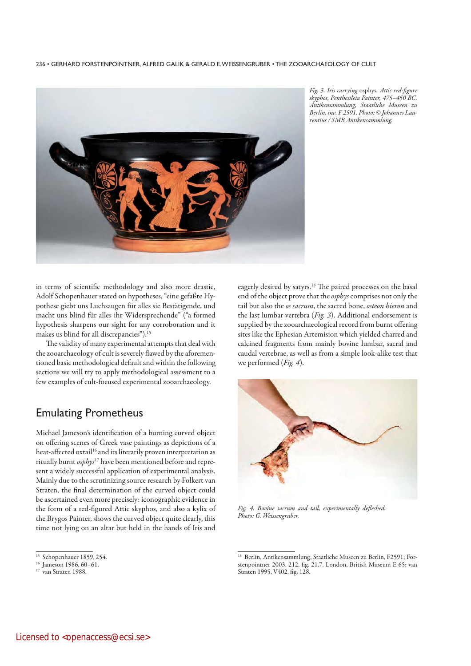

Fig. 3. Iris carrying osphys. Attic red-figure skyphos, Penthesileia Painter, 475–450 BC. Antikensammlung, Staatliche Museen zu Berlin, inv. F 2591. Photo: © Johannes Laurentius / SMB Antikensammlung.

in terms of scientific methodology and also more drastic, Adolf Schopenhauer stated on hypotheses, "eine gefaßte Hypothese giebt uns Luchsaugen für alles sie Bestätigende, und macht uns blind für alles ihr Widersprechende" ("a formed hypothesis sharpens our sight for any corroboration and it makes us blind for all discrepancies").15

The validity of many experimental attempts that deal with the zooarchaeology of cult is severely flawed by the aforementioned basic methodological default and within the following sections we will try to apply methodological assessment to a few examples of cult-focused experimental zooarchaeology.

### Emulating Prometheus

Michael Jameson's identification of a burning curved object on offering scenes of Greek vase paintings as depictions of a heat-affected oxtail<sup>16</sup> and its literarily proven interpretation as ritually burnt osphys<sup>17</sup> have been mentioned before and represent a widely successful application of experimental analysis. Mainly due to the scrutinizing source research by Folkert van Straten, the final determination of the curved object could be ascertained even more precisely: iconographic evidence in the form of a red-figured Attic skyphos, and also a kylix of the Brygos Painter, shows the curved object quite clearly, this time not lying on an altar but held in the hands of Iris and

eagerly desired by satyrs.18 The paired processes on the basal end of the object prove that the *osphys* comprises not only the tail but also the os sacrum, the sacred bone, osteon hieron and the last lumbar vertebra (Fig. 3). Additional endorsement is supplied by the zooarchaeological record from burnt offering sites like the Ephesian Artemision which yielded charred and calcined fragments from mainly bovine lumbar, sacral and caudal vertebrae, as well as from a simple look-alike test that we performed (Fig. 4).



Fig. 4. Bovine sacrum and tail, experimentally defleshed. Photo: G. Weissengruber.

<sup>15</sup> Schopenhauer 1859, 254.

 $16$  Jameson 1986, 60–61.

<sup>&</sup>lt;sup>17</sup> van Straten 1988.

<sup>18</sup> Berlin, Antikensammlung, Staatliche Museen zu Berlin, F2591; Forstenpointner 2003, 212, fig. 21.7. London, British Museum E 65; van Straten 1995, V402, fig. 128.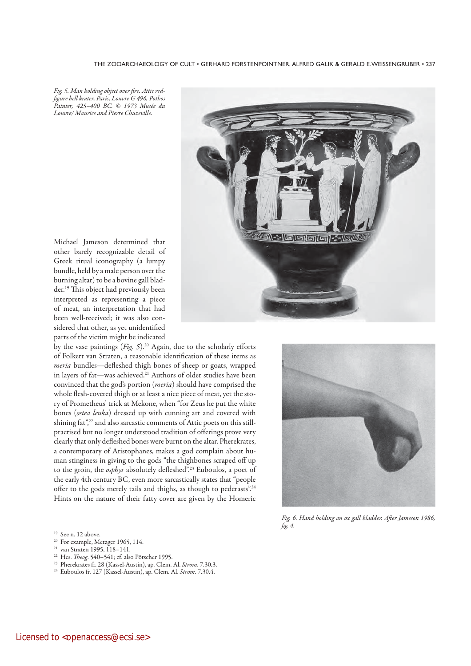Fig. 5. Man holding object over fire. Attic redfigure bell krater, Paris, Louvre G 496, Pothos Painter, 425–400 BC. © 1973 Musée du Louvre/ Maurice and Pierre Chuzeville.

Michael Jameson determined that other barely recognizable detail of Greek ritual iconography (a lumpy bundle, held by a male person over the burning altar) to be a bovine gall bladder.19 This object had previously been interpreted as representing a piece of meat, an interpretation that had been well-received; it was also considered that other, as yet unidentified parts of the victim might be indicated

by the vase paintings  $(Fig. 5)$ .<sup>20</sup> Again, due to the scholarly efforts of Folkert van Straten, a reasonable identification of these items as meria bundles—defleshed thigh bones of sheep or goats, wrapped in layers of fat—was achieved.<sup>21</sup> Authors of older studies have been convinced that the god's portion (meria) should have comprised the whole flesh-covered thigh or at least a nice piece of meat, yet the story of Prometheus' trick at Mekone, when "for Zeus he put the white bones (ostea leuka) dressed up with cunning art and covered with shining fat",<sup>22</sup> and also sarcastic comments of Attic poets on this stillpractised but no longer understood tradition of offerings prove very clearly that only defleshed bones were burnt on the altar. Pherekrates, a contemporary of Aristophanes, makes a god complain about human stinginess in giving to the gods "the thighbones scraped off up to the groin, the osphys absolutely defleshed".<sup>23</sup> Euboulos, a poet of the early 4th century BC, even more sarcastically states that "people offer to the gods merely tails and thighs, as though to pederasts".24 Hints on the nature of their fatty cover are given by the Homeric

- <sup>19</sup> See n. 12 above.
- <sup>20</sup> For example, Metzger 1965, 114.

- <sup>23</sup> Pherekrates fr. 28 (Kassel-Austin), ap. Clem. Al. Strom. 7.30.3.
- <sup>24</sup> Euboulos fr. 127 (Kassel-Austin), ap. Clem. Al. Strom. 7.30.4.



Fig. 6. Hand holding an ox gall bladder. After Jameson 1986, fig. 4.

<sup>&</sup>lt;sup>21</sup> van Straten 1995, 118-141.

<sup>&</sup>lt;sup>22</sup> Hes. Theog. 540–541; cf. also Pötscher 1995.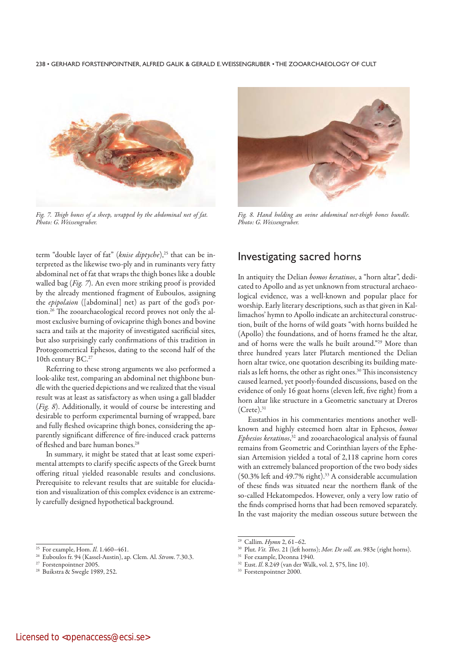

Fig. 7. Thigh bones of a sheep, wrapped by the abdominal net of fat. Photo: G. Weissengruber.



Fig. 8. Hand holding an ovine abdominal net-thigh bones bundle. Photo: G. Weissengruber.

term "double layer of fat" (knise diptyche),<sup>25</sup> that can be interpreted as the likewise two-ply and in ruminants very fatty abdominal net of fat that wraps the thigh bones like a double walled bag ( $Fig. 7$ ). An even more striking proof is provided by the already mentioned fragment of Euboulos, assigning the epipolaion ([abdominal] net) as part of the god's portion.26 The zooarchaeological record proves not only the almost exclusive burning of ovicaprine thigh bones and bovine sacra and tails at the majority of investigated sacrificial sites, but also surprisingly early confirmations of this tradition in Protogeometrical Ephesos, dating to the second half of the 10th century BC.27

Referring to these strong arguments we also performed a look-alike test, comparing an abdominal net thighbone bundle with the queried depictions and we realized that the visual result was at least as satisfactory as when using a gall bladder (Fig. 8). Additionally, it would of course be interesting and desirable to perform experimental burning of wrapped, bare and fully fleshed ovicaprine thigh bones, considering the apparently significant difference of fire-induced crack patterns of fleshed and bare human bones.<sup>28</sup>

In summary, it might be stated that at least some experimental attempts to clarify specific aspects of the Greek burnt offering ritual yielded reasonable results and conclusions. Prerequisite to relevant results that are suitable for elucidation and visualization of this complex evidence is an extremely carefully designed hypothetical background.

#### Investigating sacred horns

In antiquity the Delian bomos keratinos, a "horn altar", dedicated to Apollo and as yet unknown from structural archaeological evidence, was a well-known and popular place for worship. Early literary descriptions, such as that given in Kallimachos' hymn to Apollo indicate an architectural construction, built of the horns of wild goats "with horns builded he (Apollo) the foundations, and of horns framed he the altar, and of horns were the walls he built around."29 More than three hundred years later Plutarch mentioned the Delian horn altar twice, one quotation describing its building materials as left horns, the other as right ones.30 This inconsistency caused learned, yet poorly-founded discussions, based on the evidence of only 16 goat horns (eleven left, five right) from a horn altar like structure in a Geometric sanctuary at Dreros  $(Crete).$ <sup>31</sup>

Eustathios in his commentaries mentions another wellknown and highly esteemed horn altar in Ephesos, bomos Ephesios keratinos,<sup>32</sup> and zooarchaeological analysis of faunal remains from Geometric and Corinthian layers of the Ephesian Artemision yielded a total of 2,118 caprine horn cores with an extremely balanced proportion of the two body sides (50.3% left and 49.7% right).33 A considerable accumulation of these finds was situated near the northern flank of the so-called Hekatompedos. However, only a very low ratio of the finds comprised horns that had been removed separately. In the vast majority the median osseous suture between the

 $30$  Plut. *Vit. Thes.* 21 (left horns); *Mor. De soll. an*. 983e (right horns).

32 Eust. Il. 8.249 (van der Walk, vol. 2, 575, line 10).

<sup>&</sup>lt;sup>25</sup> For example, Hom. *Il.* 1.460–461.

<sup>&</sup>lt;sup>26</sup> Euboulos fr. 94 (Kassel-Austin), ap. Clem. Al. Strom. 7.30.3.

<sup>27</sup> Forstenpointner 2005.

<sup>28</sup> Buikstra & Swegle 1989, 252.

<sup>29</sup> Callim. Hymn 2, 61–62.

<sup>&</sup>lt;sup>31</sup> For example, Deonna 1940.

<sup>&</sup>lt;sup>33</sup> Forstenpointner 2000.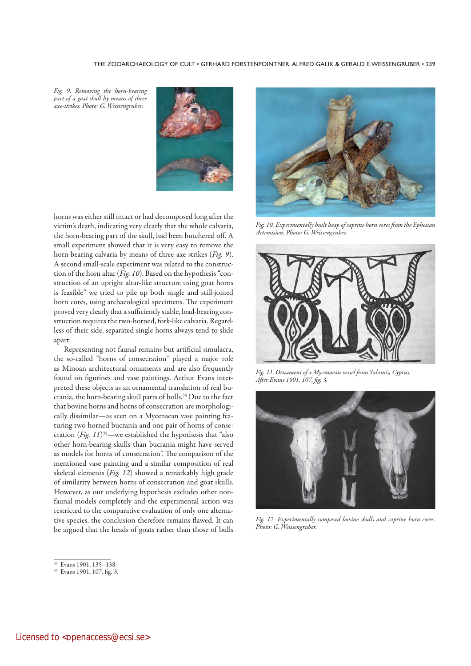Fig. 9. Removing the horn-bearing part of a goat skull by means of three axe-strikes. Photo: G. Weissengruber.



horns was either still intact or had decomposed long after the victim's death, indicating very clearly that the whole calvaria, the horn-bearing part of the skull, had been butchered off. A small experiment showed that it is very easy to remove the horn-bearing calvaria by means of three axe strikes (Fig. 9). A second small-scale experiment was related to the construction of the horn altar (*Fig. 10*). Based on the hypothesis "construction of an upright altar-like structure using goat horns is feasible" we tried to pile up both single and still-joined horn cores, using archaeological specimens. The experiment proved very clearly that a sufficiently stable, load-bearing construction requires the two-horned, fork-like calvaria. Regardless of their side, separated single horns always tend to slide apart.

Representing not faunal remains but artificial simulacra, the so-called "horns of consecration" played a major role as Minoan architectural ornaments and are also frequently found on figurines and vase paintings. Arthur Evans interpreted these objects as an ornamental translation of real bucrania, the horn-bearing skull parts of bulls.34 Due to the fact that bovine horns and horns of consecration are morphologically dissimilar—as seen on a Mycenaean vase painting featuring two horned bucrania and one pair of horns of consecration (*Fig. 11*)<sup>35</sup>—we established the hypothesis that "also other horn-bearing skulls than bucrania might have served as models for horns of consecration". The comparison of the mentioned vase painting and a similar composition of real skeletal elements (Fig. 12) showed a remarkably high grade of similarity between horns of consecration and goat skulls. However, as our underlying hypothesis excludes other nonfaunal models completely and the experimental action was restricted to the comparative evaluation of only one alternative species, the conclusion therefore remains flawed. It can be argued that the heads of goats rather than those of bulls



<sup>35</sup> Evans 1901, 107, fig. 3.



Fig. 10. Experimentally built heap of caprine horn cores from the Ephesian Artemision. Photo: G. Weissengruber.



Fig. 11. Ornament of a Mycenaean vessel from Salamis, Cyprus. After Evans 1901, 107, fig. 3.



Fig. 12. Experimentally composed bovine skulls and caprine horn cores. Photo: G. Weissengruber.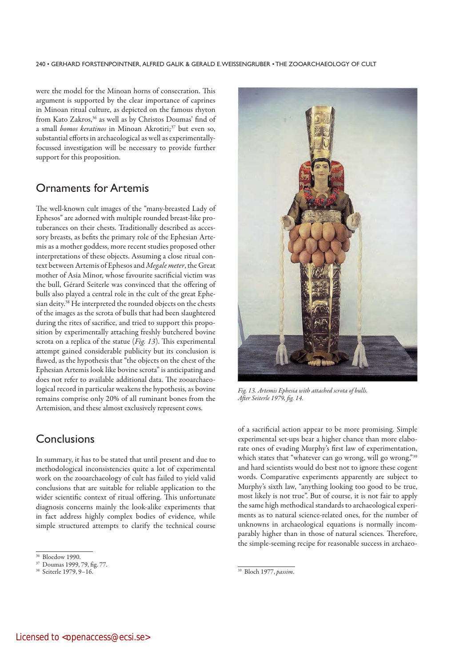were the model for the Minoan horns of consecration. This argument is supported by the clear importance of caprines in Minoan ritual culture, as depicted on the famous rhyton from Kato Zakros,<sup>36</sup> as well as by Christos Doumas' find of a small *bomos keratinos* in Minoan Akrotiri;<sup>37</sup> but even so, substantial efforts in archaeological as well as experimentallyfocussed investigation will be necessary to provide further support for this proposition.

## Ornaments for Artemis

The well-known cult images of the "many-breasted Lady of Ephesos" are adorned with multiple rounded breast-like protuberances on their chests. Traditionally described as accessory breasts, as befits the primary role of the Ephesian Artemis as a mother goddess, more recent studies proposed other interpretations of these objects. Assuming a close ritual context between Artemis of Ephesos and Megale meter, the Great mother of Asia Minor, whose favourite sacrificial victim was the bull, Gérard Seiterle was convinced that the offering of bulls also played a central role in the cult of the great Ephesian deity.<sup>38</sup> He interpreted the rounded objects on the chests of the images as the scrota of bulls that had been slaughtered during the rites of sacrifice, and tried to support this proposition by experimentally attaching freshly butchered bovine scrota on a replica of the statue ( $Fig. 13$ ). This experimental attempt gained considerable publicity but its conclusion is flawed, as the hypothesis that "the objects on the chest of the Ephesian Artemis look like bovine scrota" is anticipating and does not refer to available additional data. The zooarchaeological record in particular weakens the hypothesis, as bovine remains comprise only 20% of all ruminant bones from the Artemision, and these almost exclusively represent cows.

### **Conclusions**

In summary, it has to be stated that until present and due to methodological inconsistencies quite a lot of experimental work on the zooarchaeology of cult has failed to yield valid conclusions that are suitable for reliable application to the wider scientific context of ritual offering. This unfortunate diagnosis concerns mainly the look-alike experiments that in fact address highly complex bodies of evidence, while simple structured attempts to clarify the technical course



Fig. 13. Artemis Ephesia with attached scrota of bulls. After Seiterle 1979, fig. 14.

of a sacrificial action appear to be more promising. Simple experimental set-ups bear a higher chance than more elaborate ones of evading Murphy's first law of experimentation, which states that "whatever can go wrong, will go wrong,"39 and hard scientists would do best not to ignore these cogent words. Comparative experiments apparently are subject to Murphy's sixth law, "anything looking too good to be true, most likely is not true". But of course, it is not fair to apply the same high methodical standards to archaeological experiments as to natural science-related ones, for the number of unknowns in archaeological equations is normally incomparably higher than in those of natural sciences. Therefore, the simple-seeming recipe for reasonable success in archaeo-

<sup>36</sup> Bloedow 1990.

<sup>37</sup> Doumas 1999, 79, fig. 77.

<sup>38</sup> Seiterle 1979, 9–16.

<sup>&</sup>lt;sup>39</sup> Bloch 1977, passim.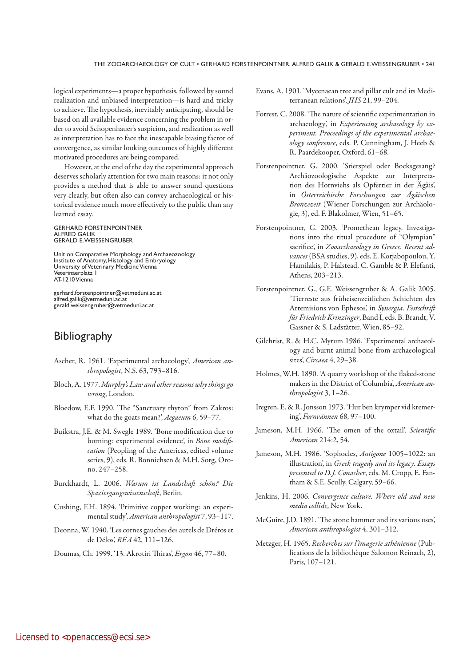logical experiments—a proper hypothesis, followed by sound realization and unbiased interpretation—is hard and tricky to achieve. The hypothesis, inevitably anticipating, should be based on all available evidence concerning the problem in order to avoid Schopenhauer's suspicion, and realization as well as interpretation has to face the inescapable biasing factor of convergence, as similar looking outcomes of highly different motivated procedures are being compared.

However, at the end of the day the experimental approach deserves scholarly attention for two main reasons: it not only provides a method that is able to answer sound questions very clearly, but often also can convey archaeological or historical evidence much more effectively to the public than any learned essay.

GERHARD FORSTENPOINTNER ALFRED GALIK GERALD E. WEISSENGRUBER

Unit on Comparative Morphology and Archaeozoology Institute of Anatomy, Histology and Embryology University of Veterinary Medicine Vienna Veterinaerplatz 1 AT-1210 Vienna

gerhard.forstenpointner@vetmeduni.ac.at alfred.galik@vetmeduni.ac.at gerald.weissengruber@vetmeduni.ac.at

# **Bibliography**

- Ascher, R. 1961. 'Experimental archaeology', American anthropologist, N.S. 63, 793–816.
- Bloch, A. 1977. Murphy's Law and other reasons why things go wrong, London.
- Bloedow, E.F. 1990. 'The "Sanctuary rhyton" from Zakros: what do the goats mean?', Aegaeum 6, 59-77.
- Buikstra, J.E. & M. Swegle 1989. 'Bone modification due to burning: experimental evidence', in *Bone modifi*cation (Peopling of the Americas, edited volume series, 9), eds. R. Bonnichsen & M.H. Sorg, Orono, 247–258.
- Burckhardt, L. 2006. Warum ist Landschaft schön? Die Spaziergangswissenschaft, Berlin.
- Cushing, F.H. 1894. 'Primitive copper working: an experimental study', American anthropologist 7, 93–117.
- Deonna, W. 1940. 'Les cornes gauches des autels de Dréros et de Délos', RÉA 42, 111–126.
- Doumas, Ch. 1999. '13. Akrotiri Thiras', Ergon 46, 77–80.
- Evans, A. 1901. 'Mycenaean tree and pillar cult and its Mediterranean relations', JHS 21, 99–204.
- Forrest, C. 2008. 'The nature of scientific experimentation in archaeology', in Experiencing archaeology by experiment. Proceedings of the experimental archaeology conference, eds. P. Cunningham, J. Heeb & R. Paardekooper, Oxford, 61–68.
- Forstenpointner, G. 2000. 'Stierspiel oder Bocksgesang? Archäozoologische Aspekte zur Interpretation des Hornviehs als Opfertier in der Ägäis', in Österreichische Forschungen zur Ägäischen Bronzezeit (Wiener Forschungen zur Archäologie, 3), ed. F. Blakolmer, Wien, 51–65.
- Forstenpointner, G. 2003. 'Promethean legacy. Investigations into the ritual procedure of "Olympian" sacrifice', in Zooarchaeology in Greece. Recent advances (BSA studies, 9), eds. E. Kotjabopoulou, Y. Hamilakis, P. Halstead, C. Gamble & P. Elefanti, Athens, 203–213.
- Forstenpointner, G., G.E. Weissengruber & A. Galik 2005. 'Tierreste aus früheisenzeitlichen Schichten des Artemisions von Ephesos', in Synergia. Festschrift für Friedrich Krinzinger, Band I, eds. B. Brandt, V. Gassner & S. Ladstätter, Wien, 85–92.
- Gilchrist, R. & H.C. Mytum 1986. 'Experimental archaeology and burnt animal bone from archaeological sites', Circaea 4, 29–38.
- Holmes, W.H. 1890. 'A quarry workshop of the flaked-stone makers in the District of Columbia', American anthropologist 3, 1–26.
- Iregren, E. & R. Jonsson 1973. 'Hur ben krymper vid kremering', Fornvännen 68, 97–100.
- Jameson, M.H. 1966. 'The omen of the oxtail', Scientific American 214:2, 54.
- Jameson, M.H. 1986. 'Sophocles, Antigone 1005–1022: an illustration', in Greek tragedy and its legacy. Essays presented to D.J. Conacher, eds. M. Cropp, E. Fantham & S.E. Scully, Calgary, 59–66.
- Jenkins, H. 2006. Convergence culture. Where old and new media collide, New York.
- McGuire, J.D. 1891. 'The stone hammer and its various uses', American anthropologist 4, 301–312.
- Metzger, H. 1965. Recherches sur l'imagerie athénienne (Publications de la bibliothèque Salomon Reinach, 2), Paris, 107–121.